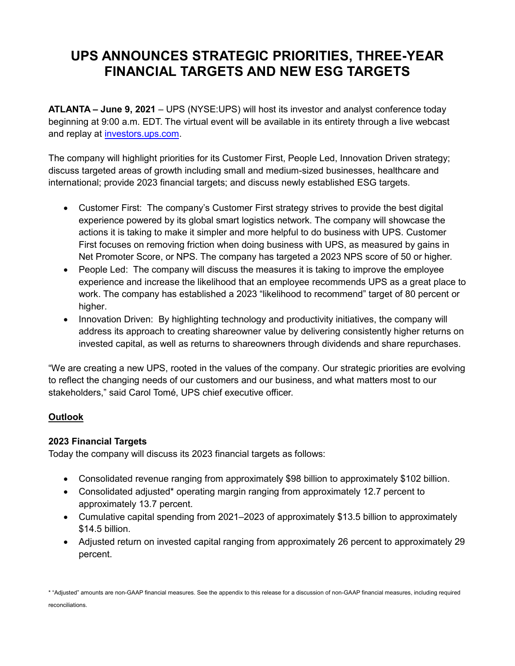# **UPS ANNOUNCES STRATEGIC PRIORITIES, THREE-YEAR FINANCIAL TARGETS AND NEW ESG TARGETS**

**ATLANTA – June 9, 2021** – UPS (NYSE:UPS) will host its investor and analyst conference today beginning at 9:00 a.m. EDT. The virtual event will be available in its entirety through a live webcast and replay at [investors.ups.com.](https://investors.ups.com/)

The company will highlight priorities for its Customer First, People Led, Innovation Driven strategy; discuss targeted areas of growth including small and medium-sized businesses, healthcare and international; provide 2023 financial targets; and discuss newly established ESG targets.

- Customer First: The company's Customer First strategy strives to provide the best digital experience powered by its global smart logistics network. The company will showcase the actions it is taking to make it simpler and more helpful to do business with UPS. Customer First focuses on removing friction when doing business with UPS, as measured by gains in Net Promoter Score, or NPS. The company has targeted a 2023 NPS score of 50 or higher.
- People Led: The company will discuss the measures it is taking to improve the employee experience and increase the likelihood that an employee recommends UPS as a great place to work. The company has established a 2023 "likelihood to recommend" target of 80 percent or higher.
- Innovation Driven: By highlighting technology and productivity initiatives, the company will address its approach to creating shareowner value by delivering consistently higher returns on invested capital, as well as returns to shareowners through dividends and share repurchases.

"We are creating a new UPS, rooted in the values of the company. Our strategic priorities are evolving to reflect the changing needs of our customers and our business, and what matters most to our stakeholders," said Carol Tomé, UPS chief executive officer.

# **Outlook**

#### **2023 Financial Targets**

Today the company will discuss its 2023 financial targets as follows:

- Consolidated revenue ranging from approximately \$98 billion to approximately \$102 billion.
- Consolidated adjusted\* operating margin ranging from approximately 12.7 percent to approximately 13.7 percent.
- Cumulative capital spending from 2021–2023 of approximately \$13.5 billion to approximately \$14.5 billion.
- Adjusted return on invested capital ranging from approximately 26 percent to approximately 29 percent.

\* "Adjusted" amounts are non-GAAP financial measures. See the appendix to this release for a discussion of non-GAAP financial measures, including required reconciliations.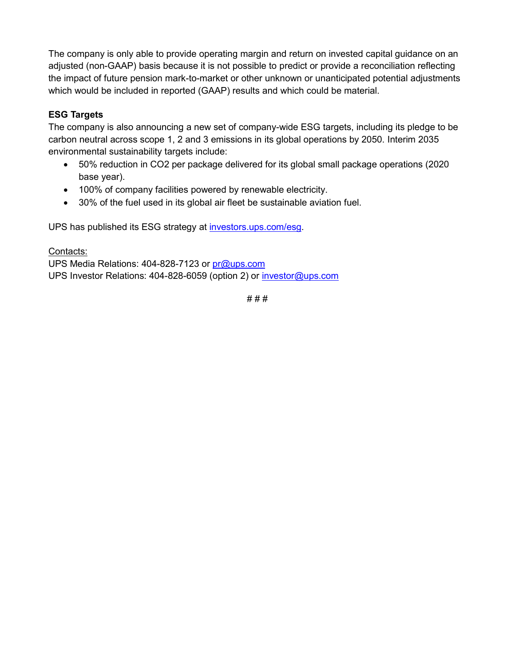The company is only able to provide operating margin and return on invested capital guidance on an adjusted (non-GAAP) basis because it is not possible to predict or provide a reconciliation reflecting the impact of future pension mark-to-market or other unknown or unanticipated potential adjustments which would be included in reported (GAAP) results and which could be material.

# **ESG Targets**

The company is also announcing a new set of company-wide ESG targets, including its pledge to be carbon neutral across scope 1, 2 and 3 emissions in its global operations by 2050. Interim 2035 environmental sustainability targets include:

- 50% reduction in CO2 per package delivered for its global small package operations (2020 base year).
- 100% of company facilities powered by renewable electricity.
- 30% of the fuel used in its global air fleet be sustainable aviation fuel.

UPS has published its ESG strategy at [investors.ups.com/esg.](https://investors.ups.com/esg)

# Contacts:

UPS Media Relations: 404-828-7123 or [pr@ups.com](mailto:pr@ups.com) UPS Investor Relations: 404-828-6059 (option 2) or [investor@ups.com](mailto:investor@ups.com)

# # #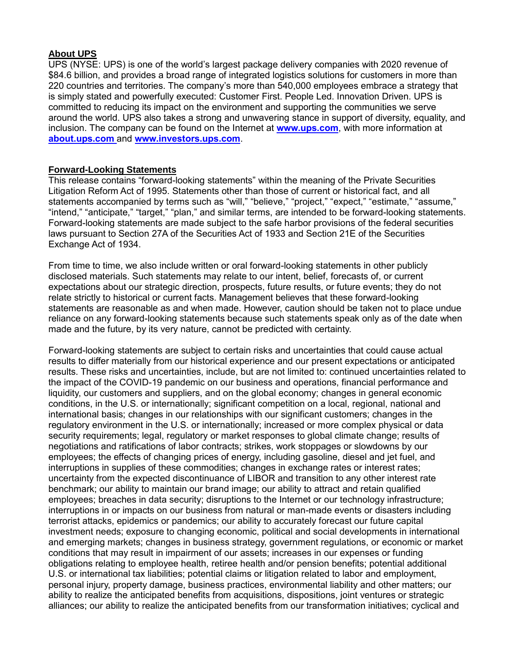# **About UPS**

UPS (NYSE: UPS) is one of the world's largest package delivery companies with 2020 revenue of \$84.6 billion, and provides a broad range of integrated logistics solutions for customers in more than 220 countries and territories. The company's more than 540,000 employees embrace a strategy that is simply stated and powerfully executed: Customer First. People Led. Innovation Driven. UPS is committed to reducing its impact on the environment and supporting the communities we serve around the world. UPS also takes a strong and unwavering stance in support of diversity, equality, and inclusion. The company can be found on the Internet at **[www.ups.com](http://www.ups.com/)**, with more information at **[about.ups.com](https://about.ups.com/us/en/home.html)** and **[www.investors.ups.com](http://www.investors.ups.com/)**.

#### **Forward-Looking Statements**

This release contains "forward-looking statements" within the meaning of the Private Securities Litigation Reform Act of 1995. Statements other than those of current or historical fact, and all statements accompanied by terms such as "will," "believe," "project," "expect," "estimate," "assume," "intend," "anticipate," "target," "plan," and similar terms, are intended to be forward-looking statements. Forward-looking statements are made subject to the safe harbor provisions of the federal securities laws pursuant to Section 27A of the Securities Act of 1933 and Section 21E of the Securities Exchange Act of 1934.

From time to time, we also include written or oral forward-looking statements in other publicly disclosed materials. Such statements may relate to our intent, belief, forecasts of, or current expectations about our strategic direction, prospects, future results, or future events; they do not relate strictly to historical or current facts. Management believes that these forward-looking statements are reasonable as and when made. However, caution should be taken not to place undue reliance on any forward-looking statements because such statements speak only as of the date when made and the future, by its very nature, cannot be predicted with certainty.

Forward-looking statements are subject to certain risks and uncertainties that could cause actual results to differ materially from our historical experience and our present expectations or anticipated results. These risks and uncertainties, include, but are not limited to: continued uncertainties related to the impact of the COVID-19 pandemic on our business and operations, financial performance and liquidity, our customers and suppliers, and on the global economy; changes in general economic conditions, in the U.S. or internationally; significant competition on a local, regional, national and international basis; changes in our relationships with our significant customers; changes in the regulatory environment in the U.S. or internationally; increased or more complex physical or data security requirements; legal, regulatory or market responses to global climate change; results of negotiations and ratifications of labor contracts; strikes, work stoppages or slowdowns by our employees; the effects of changing prices of energy, including gasoline, diesel and jet fuel, and interruptions in supplies of these commodities; changes in exchange rates or interest rates; uncertainty from the expected discontinuance of LIBOR and transition to any other interest rate benchmark; our ability to maintain our brand image; our ability to attract and retain qualified employees; breaches in data security; disruptions to the Internet or our technology infrastructure; interruptions in or impacts on our business from natural or man-made events or disasters including terrorist attacks, epidemics or pandemics; our ability to accurately forecast our future capital investment needs; exposure to changing economic, political and social developments in international and emerging markets; changes in business strategy, government regulations, or economic or market conditions that may result in impairment of our assets; increases in our expenses or funding obligations relating to employee health, retiree health and/or pension benefits; potential additional U.S. or international tax liabilities; potential claims or litigation related to labor and employment, personal injury, property damage, business practices, environmental liability and other matters; our ability to realize the anticipated benefits from acquisitions, dispositions, joint ventures or strategic alliances; our ability to realize the anticipated benefits from our transformation initiatives; cyclical and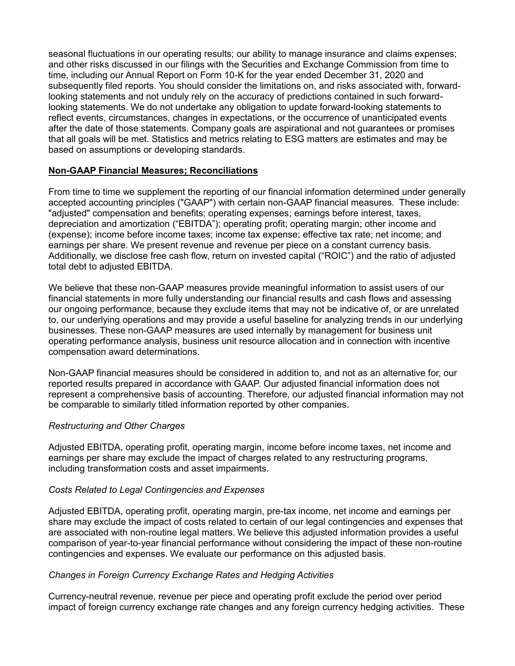seasonal fluctuations in our operating results; our ability to manage insurance and claims expenses; and other risks discussed in our filings with the Securities and Exchange Commission from time to time, including our Annual Report on Form 10-K for the year ended December 31, 2020 and subsequently filed reports. You should consider the limitations on, and risks associated with, forwardlooking statements and not unduly rely on the accuracy of predictions contained in such forwardlooking statements. We do not undertake any obligation to update forward-looking statements to reflect events, circumstances, changes in expectations, or the occurrence of unanticipated events after the date of those statements. Company goals are aspirational and not guarantees or promises that all goals will be met. Statistics and metrics relating to ESG matters are estimates and may be based on assumptions or developing standards.

#### **Non-GAAP Financial Measures; Reconciliations**

From time to time we supplement the reporting of our financial information determined under generally accepted accounting principles ("GAAP") with certain non-GAAP financial measures. These include: "adjusted" compensation and benefits; operating expenses; earnings before interest, taxes, depreciation and amortization ("EBITDA"); operating profit; operating margin; other income and (expense); income before income taxes; income tax expense; effective tax rate; net income; and earnings per share. We present revenue and revenue per piece on a constant currency basis. Additionally, we disclose free cash flow, return on invested capital ("ROIC") and the ratio of adjusted total debt to adjusted EBITDA.

We believe that these non-GAAP measures provide meaningful information to assist users of our financial statements in more fully understanding our financial results and cash flows and assessing our ongoing performance, because they exclude items that may not be indicative of, or are unrelated to, our underlying operations and may provide a useful baseline for analyzing trends in our underlying businesses. These non-GAAP measures are used internally by management for business unit operating performance analysis, business unit resource allocation and in connection with incentive compensation award determinations.

Non-GAAP financial measures should be considered in addition to, and not as an alternative for, our reported results prepared in accordance with GAAP. Our adjusted financial information does not represent a comprehensive basis of accounting. Therefore, our adjusted financial information may not be comparable to similarly titled information reported by other companies.

#### *Restructuring and Other Charges*

Adjusted EBITDA, operating profit, operating margin, income before income taxes, net income and earnings per share may exclude the impact of charges related to any restructuring programs, including transformation costs and asset impairments.

#### *Costs Related to Legal Contingencies and Expenses*

Adjusted EBITDA, operating profit, operating margin, pre-tax income, net income and earnings per share may exclude the impact of costs related to certain of our legal contingencies and expenses that are associated with non-routine legal matters. We believe this adjusted information provides a useful comparison of year-to-year financial performance without considering the impact of these non-routine contingencies and expenses. We evaluate our performance on this adjusted basis.

#### *Changes in Foreign Currency Exchange Rates and Hedging Activities*

Currency-neutral revenue, revenue per piece and operating profit exclude the period over period impact of foreign currency exchange rate changes and any foreign currency hedging activities. These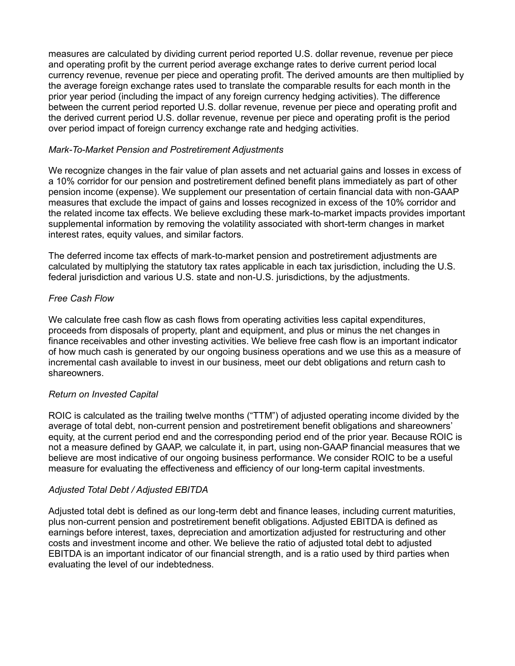measures are calculated by dividing current period reported U.S. dollar revenue, revenue per piece and operating profit by the current period average exchange rates to derive current period local currency revenue, revenue per piece and operating profit. The derived amounts are then multiplied by the average foreign exchange rates used to translate the comparable results for each month in the prior year period (including the impact of any foreign currency hedging activities). The difference between the current period reported U.S. dollar revenue, revenue per piece and operating profit and the derived current period U.S. dollar revenue, revenue per piece and operating profit is the period over period impact of foreign currency exchange rate and hedging activities.

#### *Mark-To-Market Pension and Postretirement Adjustments*

We recognize changes in the fair value of plan assets and net actuarial gains and losses in excess of a 10% corridor for our pension and postretirement defined benefit plans immediately as part of other pension income (expense). We supplement our presentation of certain financial data with non-GAAP measures that exclude the impact of gains and losses recognized in excess of the 10% corridor and the related income tax effects. We believe excluding these mark-to-market impacts provides important supplemental information by removing the volatility associated with short-term changes in market interest rates, equity values, and similar factors.

The deferred income tax effects of mark-to-market pension and postretirement adjustments are calculated by multiplying the statutory tax rates applicable in each tax jurisdiction, including the U.S. federal jurisdiction and various U.S. state and non-U.S. jurisdictions, by the adjustments.

#### *Free Cash Flow*

We calculate free cash flow as cash flows from operating activities less capital expenditures, proceeds from disposals of property, plant and equipment, and plus or minus the net changes in finance receivables and other investing activities. We believe free cash flow is an important indicator of how much cash is generated by our ongoing business operations and we use this as a measure of incremental cash available to invest in our business, meet our debt obligations and return cash to shareowners.

#### *Return on Invested Capital*

ROIC is calculated as the trailing twelve months ("TTM") of adjusted operating income divided by the average of total debt, non-current pension and postretirement benefit obligations and shareowners' equity, at the current period end and the corresponding period end of the prior year. Because ROIC is not a measure defined by GAAP, we calculate it, in part, using non-GAAP financial measures that we believe are most indicative of our ongoing business performance. We consider ROIC to be a useful measure for evaluating the effectiveness and efficiency of our long-term capital investments.

#### *Adjusted Total Debt / Adjusted EBITDA*

Adjusted total debt is defined as our long-term debt and finance leases, including current maturities, plus non-current pension and postretirement benefit obligations. Adjusted EBITDA is defined as earnings before interest, taxes, depreciation and amortization adjusted for restructuring and other costs and investment income and other. We believe the ratio of adjusted total debt to adjusted EBITDA is an important indicator of our financial strength, and is a ratio used by third parties when evaluating the level of our indebtedness.